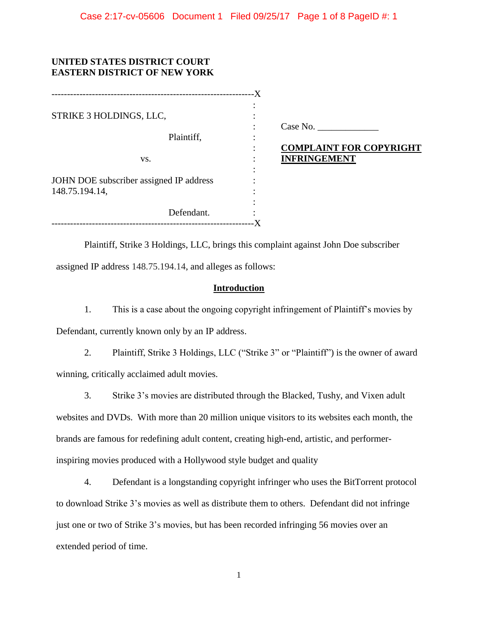# **UNITED STATES DISTRICT COURT EASTERN DISTRICT OF NEW YORK**

|                                                           | $-X$                                                  |
|-----------------------------------------------------------|-------------------------------------------------------|
| STRIKE 3 HOLDINGS, LLC,                                   |                                                       |
| Plaintiff,                                                | Case No.                                              |
| VS.                                                       | <b>COMPLAINT FOR COPYRIGHT</b><br><b>INFRINGEMENT</b> |
| JOHN DOE subscriber assigned IP address<br>148.75.194.14, |                                                       |
| Defendant.                                                |                                                       |
|                                                           |                                                       |

Plaintiff, Strike 3 Holdings, LLC, brings this complaint against John Doe subscriber assigned IP address 148.75.194.14, and alleges as follows:

## **Introduction**

1. This is a case about the ongoing copyright infringement of Plaintiff's movies by Defendant, currently known only by an IP address.

2. Plaintiff, Strike 3 Holdings, LLC ("Strike 3" or "Plaintiff") is the owner of award winning, critically acclaimed adult movies.

3. Strike 3's movies are distributed through the Blacked, Tushy, and Vixen adult websites and DVDs. With more than 20 million unique visitors to its websites each month, the brands are famous for redefining adult content, creating high-end, artistic, and performerinspiring movies produced with a Hollywood style budget and quality

4. Defendant is a longstanding copyright infringer who uses the BitTorrent protocol to download Strike 3's movies as well as distribute them to others. Defendant did not infringe just one or two of Strike 3's movies, but has been recorded infringing 56 movies over an extended period of time.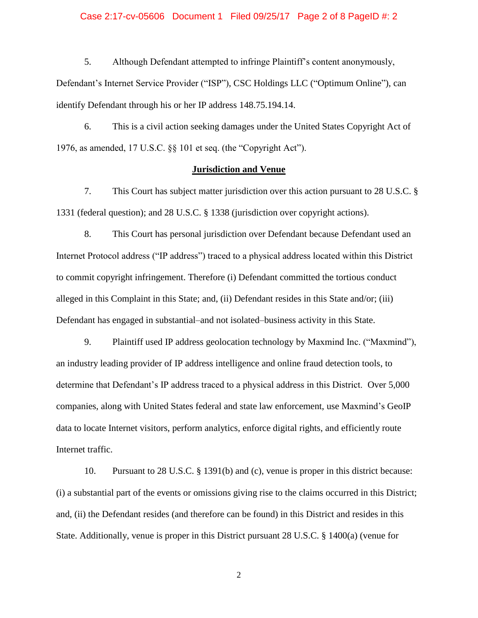#### Case 2:17-cv-05606 Document 1 Filed 09/25/17 Page 2 of 8 PageID #: 2

5. Although Defendant attempted to infringe Plaintiff's content anonymously, Defendant's Internet Service Provider ("ISP"), CSC Holdings LLC ("Optimum Online"), can identify Defendant through his or her IP address 148.75.194.14.

6. This is a civil action seeking damages under the United States Copyright Act of 1976, as amended, 17 U.S.C. §§ 101 et seq. (the "Copyright Act").

#### **Jurisdiction and Venue**

7. This Court has subject matter jurisdiction over this action pursuant to 28 U.S.C. § 1331 (federal question); and 28 U.S.C. § 1338 (jurisdiction over copyright actions).

8. This Court has personal jurisdiction over Defendant because Defendant used an Internet Protocol address ("IP address") traced to a physical address located within this District to commit copyright infringement. Therefore (i) Defendant committed the tortious conduct alleged in this Complaint in this State; and, (ii) Defendant resides in this State and/or; (iii) Defendant has engaged in substantial–and not isolated–business activity in this State.

9. Plaintiff used IP address geolocation technology by Maxmind Inc. ("Maxmind"), an industry leading provider of IP address intelligence and online fraud detection tools, to determine that Defendant's IP address traced to a physical address in this District. Over 5,000 companies, along with United States federal and state law enforcement, use Maxmind's GeoIP data to locate Internet visitors, perform analytics, enforce digital rights, and efficiently route Internet traffic.

10. Pursuant to 28 U.S.C. § 1391(b) and (c), venue is proper in this district because: (i) a substantial part of the events or omissions giving rise to the claims occurred in this District; and, (ii) the Defendant resides (and therefore can be found) in this District and resides in this State. Additionally, venue is proper in this District pursuant 28 U.S.C. § 1400(a) (venue for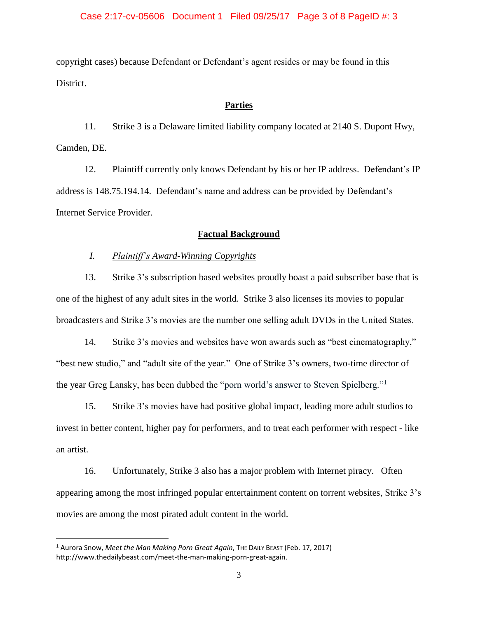## Case 2:17-cv-05606 Document 1 Filed 09/25/17 Page 3 of 8 PageID #: 3

copyright cases) because Defendant or Defendant's agent resides or may be found in this District.

### **Parties**

11. Strike 3 is a Delaware limited liability company located at 2140 S. Dupont Hwy, Camden, DE.

12. Plaintiff currently only knows Defendant by his or her IP address. Defendant's IP address is 148.75.194.14. Defendant's name and address can be provided by Defendant's Internet Service Provider.

## **Factual Background**

# *I. Plaintiff's Award-Winning Copyrights*

13. Strike 3's subscription based websites proudly boast a paid subscriber base that is one of the highest of any adult sites in the world. Strike 3 also licenses its movies to popular broadcasters and Strike 3's movies are the number one selling adult DVDs in the United States.

14. Strike 3's movies and websites have won awards such as "best cinematography," "best new studio," and "adult site of the year." One of Strike 3's owners, two-time director of the year Greg Lansky, has been dubbed the "porn world's answer to Steven Spielberg."<sup>1</sup>

15. Strike 3's movies have had positive global impact, leading more adult studios to invest in better content, higher pay for performers, and to treat each performer with respect - like an artist.

16. Unfortunately, Strike 3 also has a major problem with Internet piracy. Often appearing among the most infringed popular entertainment content on torrent websites, Strike 3's movies are among the most pirated adult content in the world.

 $\overline{\phantom{a}}$ 

<sup>1</sup> Aurora Snow, *Meet the Man Making Porn Great Again*, THE DAILY BEAST (Feb. 17, 2017) http://www.thedailybeast.com/meet-the-man-making-porn-great-again.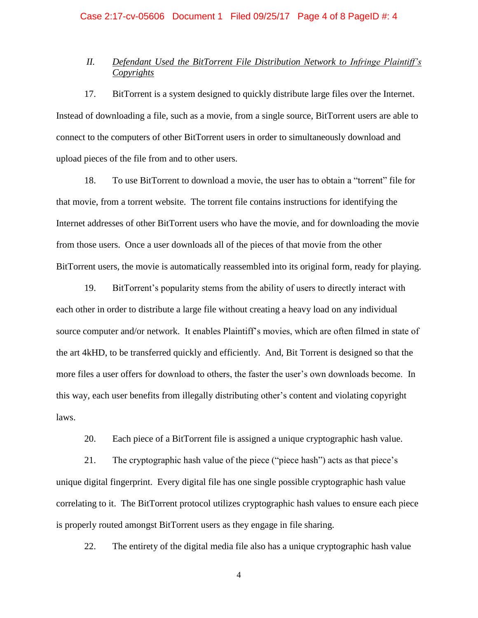# Case 2:17-cv-05606 Document 1 Filed 09/25/17 Page 4 of 8 PageID #: 4

# *II. Defendant Used the BitTorrent File Distribution Network to Infringe Plaintiff's Copyrights*

17. BitTorrent is a system designed to quickly distribute large files over the Internet. Instead of downloading a file, such as a movie, from a single source, BitTorrent users are able to connect to the computers of other BitTorrent users in order to simultaneously download and upload pieces of the file from and to other users.

18. To use BitTorrent to download a movie, the user has to obtain a "torrent" file for that movie, from a torrent website. The torrent file contains instructions for identifying the Internet addresses of other BitTorrent users who have the movie, and for downloading the movie from those users. Once a user downloads all of the pieces of that movie from the other BitTorrent users, the movie is automatically reassembled into its original form, ready for playing.

19. BitTorrent's popularity stems from the ability of users to directly interact with each other in order to distribute a large file without creating a heavy load on any individual source computer and/or network. It enables Plaintiff's movies, which are often filmed in state of the art 4kHD, to be transferred quickly and efficiently. And, Bit Torrent is designed so that the more files a user offers for download to others, the faster the user's own downloads become. In this way, each user benefits from illegally distributing other's content and violating copyright laws.

20. Each piece of a BitTorrent file is assigned a unique cryptographic hash value.

21. The cryptographic hash value of the piece ("piece hash") acts as that piece's unique digital fingerprint. Every digital file has one single possible cryptographic hash value correlating to it. The BitTorrent protocol utilizes cryptographic hash values to ensure each piece is properly routed amongst BitTorrent users as they engage in file sharing.

22. The entirety of the digital media file also has a unique cryptographic hash value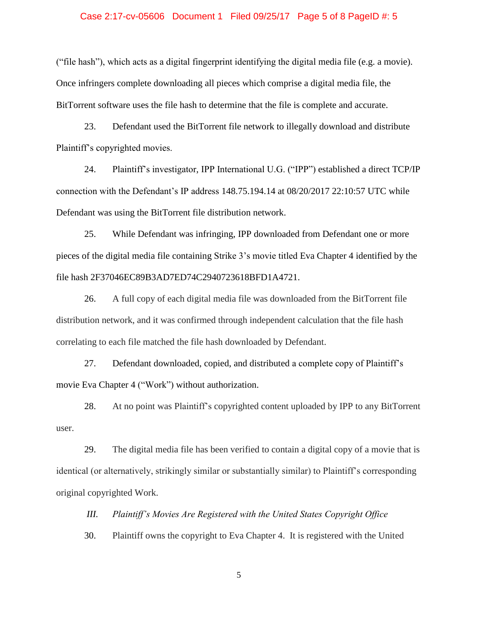## Case 2:17-cv-05606 Document 1 Filed 09/25/17 Page 5 of 8 PageID #: 5

("file hash"), which acts as a digital fingerprint identifying the digital media file (e.g. a movie). Once infringers complete downloading all pieces which comprise a digital media file, the BitTorrent software uses the file hash to determine that the file is complete and accurate.

23. Defendant used the BitTorrent file network to illegally download and distribute Plaintiff's copyrighted movies.

24. Plaintiff's investigator, IPP International U.G. ("IPP") established a direct TCP/IP connection with the Defendant's IP address 148.75.194.14 at 08/20/2017 22:10:57 UTC while Defendant was using the BitTorrent file distribution network.

25. While Defendant was infringing, IPP downloaded from Defendant one or more pieces of the digital media file containing Strike 3's movie titled Eva Chapter 4 identified by the file hash 2F37046EC89B3AD7ED74C2940723618BFD1A4721.

26. A full copy of each digital media file was downloaded from the BitTorrent file distribution network, and it was confirmed through independent calculation that the file hash correlating to each file matched the file hash downloaded by Defendant.

27. Defendant downloaded, copied, and distributed a complete copy of Plaintiff's movie Eva Chapter 4 ("Work") without authorization.

28. At no point was Plaintiff's copyrighted content uploaded by IPP to any BitTorrent user.

29. The digital media file has been verified to contain a digital copy of a movie that is identical (or alternatively, strikingly similar or substantially similar) to Plaintiff's corresponding original copyrighted Work.

*III. Plaintiff's Movies Are Registered with the United States Copyright Office* 

30. Plaintiff owns the copyright to Eva Chapter 4. It is registered with the United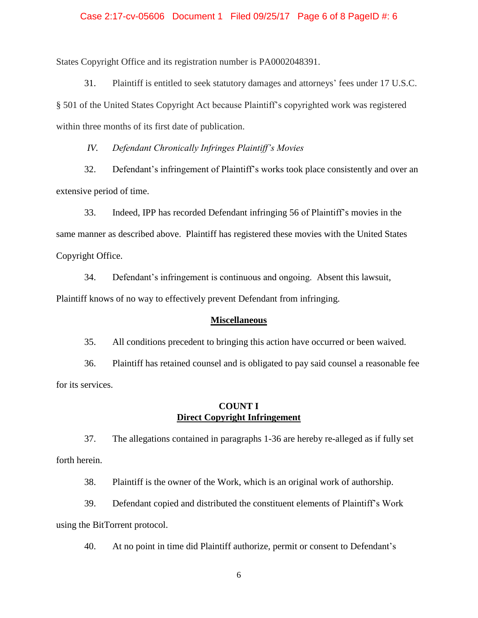#### Case 2:17-cv-05606 Document 1 Filed 09/25/17 Page 6 of 8 PageID #: 6

States Copyright Office and its registration number is PA0002048391.

31. Plaintiff is entitled to seek statutory damages and attorneys' fees under 17 U.S.C. § 501 of the United States Copyright Act because Plaintiff's copyrighted work was registered within three months of its first date of publication.

*IV. Defendant Chronically Infringes Plaintiff's Movies* 

32. Defendant's infringement of Plaintiff's works took place consistently and over an extensive period of time.

33. Indeed, IPP has recorded Defendant infringing 56 of Plaintiff's movies in the same manner as described above. Plaintiff has registered these movies with the United States Copyright Office.

34. Defendant's infringement is continuous and ongoing. Absent this lawsuit, Plaintiff knows of no way to effectively prevent Defendant from infringing.

#### **Miscellaneous**

35. All conditions precedent to bringing this action have occurred or been waived.

36. Plaintiff has retained counsel and is obligated to pay said counsel a reasonable fee for its services.

## **COUNT I Direct Copyright Infringement**

37. The allegations contained in paragraphs 1-36 are hereby re-alleged as if fully set forth herein.

38. Plaintiff is the owner of the Work, which is an original work of authorship.

39. Defendant copied and distributed the constituent elements of Plaintiff's Work using the BitTorrent protocol.

40. At no point in time did Plaintiff authorize, permit or consent to Defendant's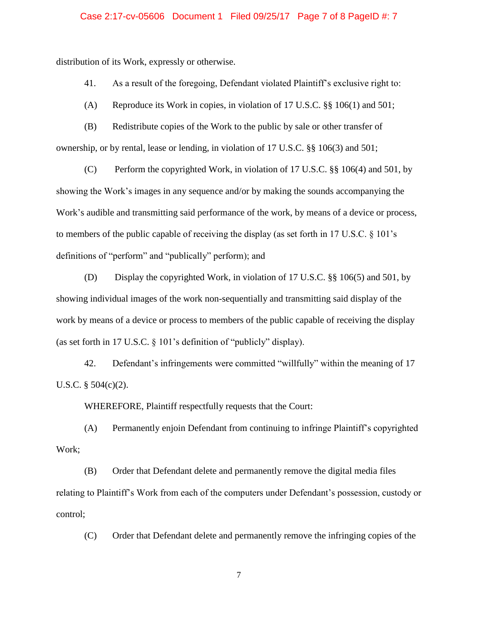## Case 2:17-cv-05606 Document 1 Filed 09/25/17 Page 7 of 8 PageID #: 7

distribution of its Work, expressly or otherwise.

41. As a result of the foregoing, Defendant violated Plaintiff's exclusive right to:

(A) Reproduce its Work in copies, in violation of 17 U.S.C. §§ 106(1) and 501;

(B) Redistribute copies of the Work to the public by sale or other transfer of ownership, or by rental, lease or lending, in violation of 17 U.S.C. §§ 106(3) and 501;

(C) Perform the copyrighted Work, in violation of 17 U.S.C. §§ 106(4) and 501, by showing the Work's images in any sequence and/or by making the sounds accompanying the Work's audible and transmitting said performance of the work, by means of a device or process, to members of the public capable of receiving the display (as set forth in 17 U.S.C. § 101's definitions of "perform" and "publically" perform); and

(D) Display the copyrighted Work, in violation of 17 U.S.C. §§ 106(5) and 501, by showing individual images of the work non-sequentially and transmitting said display of the work by means of a device or process to members of the public capable of receiving the display (as set forth in 17 U.S.C. § 101's definition of "publicly" display).

42. Defendant's infringements were committed "willfully" within the meaning of 17 U.S.C.  $\S$  504(c)(2).

WHEREFORE, Plaintiff respectfully requests that the Court:

(A) Permanently enjoin Defendant from continuing to infringe Plaintiff's copyrighted Work;

(B) Order that Defendant delete and permanently remove the digital media files relating to Plaintiff's Work from each of the computers under Defendant's possession, custody or control;

(C) Order that Defendant delete and permanently remove the infringing copies of the